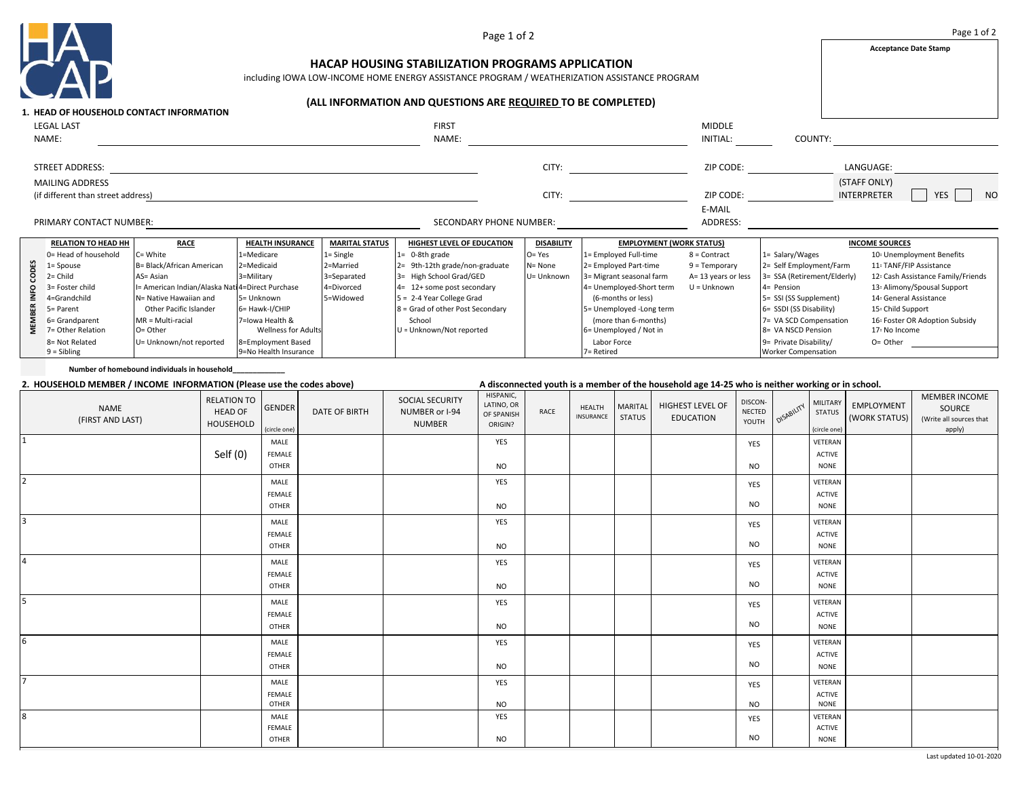

Page 1 of 2

**Acceptance Date Stamp**

## **HACAP HOUSING STABILIZATION PROGRAMS APPLICATION**

including IOWA LOW-INCOME HOME ENERGY ASSISTANCE PROGRAM / WEATHERIZATION ASSISTANCE PROGRAM

## **(ALL INFORMATION AND QUESTIONS ARE REQUIRED TO BE COMPLETED)**

|                        |                                                              | <b>1. HEAD OF HOUSEHOLD CONTACT INFORMATION</b>  |                                               |                       |                                    |                   |                                                |                                 |                                                      |                                                                    |  |
|------------------------|--------------------------------------------------------------|--------------------------------------------------|-----------------------------------------------|-----------------------|------------------------------------|-------------------|------------------------------------------------|---------------------------------|------------------------------------------------------|--------------------------------------------------------------------|--|
| <b>LEGAL LAST</b>      |                                                              |                                                  |                                               |                       | <b>FIRST</b>                       |                   |                                                | <b>MIDDLE</b>                   |                                                      |                                                                    |  |
|                        | NAME:                                                        |                                                  |                                               |                       | NAME:                              |                   |                                                | INITIAL:                        | COUNTY:                                              |                                                                    |  |
| <b>STREET ADDRESS:</b> |                                                              |                                                  |                                               |                       |                                    | CITY:             |                                                |                                 |                                                      | LANGUAGE:                                                          |  |
|                        | <b>MAILING ADDRESS</b><br>(if different than street address) |                                                  |                                               |                       |                                    | CITY:             |                                                |                                 |                                                      | (STAFF ONLY)<br><b>INTERPRETER</b><br><b>YES</b><br>N <sub>O</sub> |  |
|                        | PRIMARY CONTACT NUMBER:                                      |                                                  |                                               |                       | SECONDARY PHONE NUMBER:            |                   |                                                | E-MAIL<br>ADDRESS:              |                                                      |                                                                    |  |
|                        |                                                              |                                                  |                                               |                       |                                    |                   |                                                |                                 |                                                      |                                                                    |  |
|                        | <b>RELATION TO HEAD HH</b>                                   | <b>RACE</b>                                      | <b>HEALTH INSURANCE</b>                       | <b>MARITAL STATUS</b> | <b>HIGHEST LEVEL OF EDUCATION</b>  | <b>DISABILITY</b> | <b>EMPLOYMENT (WORK STATUS)</b>                |                                 |                                                      | <b>INCOME SOURCES</b>                                              |  |
|                        | 0= Head of household                                         | C= White                                         | 1=Medicare                                    | $1 =$ Single          | $1 = 0-8$ th grade                 | $O = Yes$         | 1= Employed Full-time                          | 1= Salary/Wages<br>8 = Contract |                                                      | 10- Unemployment Benefits                                          |  |
|                        | $1 = Spouse$                                                 | B= Black/African American                        | 2=Medicaid                                    | 2=Married             | $2 = 9th-12th$ grade/non-graduate  | N= None           | 2= Employed Part-time                          | $9 = Temporary$                 | 2= Self Employment/Farm                              | 11- TANF/FIP Assistance                                            |  |
|                        | $2 = Child$                                                  | $AS = Asian$                                     | 3=Military                                    | 3=Separated           | 3= High School Grad/GED            | U= Unknown        | 3= Migrant seasonal farm                       | A= 13 years or less             | 3= SSA (Retirement/Elderly)                          | 12- Cash Assistance Family/Friends                                 |  |
|                        | 3= Foster child                                              | I= American Indian/Alaska Nati 4=Direct Purchase |                                               | 4=Divorced            | 4= 12+ some post secondary         |                   | 4= Unemployed-Short term                       | $U =$ Unknown                   | 4= Pension                                           | 13: Alimony/Spousal Support                                        |  |
|                        | 4=Grandchild                                                 | N= Native Hawaiian and                           | 5= Unknown                                    | 5=Widowed             | $5 = 2-4$ Year College Grad        |                   | (6-months or less)                             |                                 | 5= SSI (SS Supplement)                               | 14- General Assistance                                             |  |
|                        | 5= Parent                                                    | Other Pacific Islander                           | 6= Hawk-I/CHIP                                |                       | 8 = Grad of other Post Secondary   |                   | 5= Unemployed -Long term                       |                                 | 6= SSDI (SS Disability)                              | 15: Child Support                                                  |  |
|                        | 6= Grandparent<br>7= Other Relation                          | $MR = Multi-racial$<br>O= Other                  | 7=lowa Health &<br><b>Wellness for Adults</b> |                       | School<br>U = Unknown/Not reported |                   | (more than 6-months)<br>6= Unemployed / Not in |                                 | 7= VA SCD Compensation<br>8= VA NSCD Pension         | 16- Foster OR Adoption Subsidy<br>17: No Income                    |  |
|                        | 8= Not Related<br>$9 = Sibling$                              | U= Unknown/not reported                          | 8=Employment Based<br>9=No Health Insurance   |                       |                                    |                   | Labor Force<br>7= Retired                      |                                 | 9= Private Disability/<br><b>Worker Compensation</b> | $O =$ Other                                                        |  |

**Number of homebound individuals in household\_\_\_\_\_\_\_\_\_\_\_\_\_**

## **2. HOUSEHOLD MEMBER / INCOME INFORMATION (Please use the codes above) A disconnected youth is a member of the household age 14-25 who is neither working or in school.**

| NAME<br>(FIRST AND LAST) | <b>RELATION TO</b><br><b>HEAD OF</b><br>HOUSEHOLD | <b>GENDER</b><br>(circle one) | <b>DATE OF BIRTH</b> | SOCIAL SECURITY<br>NUMBER or I-94<br><b>NUMBER</b> | HISPANIC,<br>LATINO, OR<br>OF SPANISH<br>ORIGIN? | RACE | HEALTH<br>INSURANCE | <b>MARITAL</b><br><b>STATUS</b> | HIGHEST LEVEL OF<br><b>EDUCATION</b> | DISCON-<br>NECTED<br>YOUTH | OISABILITY | MILITARY<br><b>STATUS</b><br>(circle one) | EMPLOYMENT<br>(WORK STATUS) | MEMBER INCOME<br>SOURCE<br>(Write all sources that<br>apply) |
|--------------------------|---------------------------------------------------|-------------------------------|----------------------|----------------------------------------------------|--------------------------------------------------|------|---------------------|---------------------------------|--------------------------------------|----------------------------|------------|-------------------------------------------|-----------------------------|--------------------------------------------------------------|
| 11                       |                                                   | MALE                          |                      |                                                    | YES                                              |      |                     |                                 |                                      | YES                        |            | VETERAN                                   |                             |                                                              |
|                          | Self $(0)$                                        | FEMALE                        |                      |                                                    |                                                  |      |                     |                                 |                                      |                            |            | <b>ACTIVE</b>                             |                             |                                                              |
|                          |                                                   | OTHER                         |                      |                                                    | <b>NO</b>                                        |      |                     |                                 |                                      | <b>NO</b>                  |            | <b>NONE</b>                               |                             |                                                              |
| 2                        |                                                   | MALE                          |                      |                                                    | YES                                              |      |                     |                                 |                                      | YES                        |            | VETERAN                                   |                             |                                                              |
|                          |                                                   | FEMALE                        |                      |                                                    |                                                  |      |                     |                                 |                                      |                            |            | ACTIVE                                    |                             |                                                              |
|                          |                                                   | OTHER                         |                      |                                                    | <b>NO</b>                                        |      |                     |                                 |                                      | <b>NO</b>                  |            | <b>NONE</b>                               |                             |                                                              |
| 13                       |                                                   | MALE                          |                      |                                                    | YES                                              |      |                     |                                 |                                      | YES                        |            | VETERAN                                   |                             |                                                              |
|                          |                                                   | FEMALE                        |                      |                                                    |                                                  |      |                     |                                 |                                      |                            |            | <b>ACTIVE</b>                             |                             |                                                              |
|                          |                                                   | OTHER                         |                      |                                                    | <b>NO</b>                                        |      |                     |                                 |                                      | <b>NO</b>                  |            | <b>NONE</b>                               |                             |                                                              |
| 14                       |                                                   | MALE                          |                      |                                                    | YES                                              |      |                     |                                 |                                      | YES                        |            | VETERAN                                   |                             |                                                              |
|                          |                                                   | FEMALE                        |                      |                                                    |                                                  |      |                     |                                 |                                      |                            |            | <b>ACTIVE</b>                             |                             |                                                              |
|                          |                                                   | OTHER                         |                      |                                                    | <b>NO</b>                                        |      |                     |                                 |                                      | <b>NO</b>                  |            | <b>NONE</b>                               |                             |                                                              |
| 5                        |                                                   | MALE                          |                      |                                                    | YES                                              |      |                     |                                 |                                      | YES                        |            | VETERAN                                   |                             |                                                              |
|                          |                                                   | FEMALE                        |                      |                                                    |                                                  |      |                     |                                 |                                      |                            |            | <b>ACTIVE</b>                             |                             |                                                              |
|                          |                                                   | OTHER                         |                      |                                                    | <b>NO</b>                                        |      |                     |                                 |                                      | <b>NO</b>                  |            | <b>NONE</b>                               |                             |                                                              |
| 6                        |                                                   | MALE                          |                      |                                                    | YES                                              |      |                     |                                 |                                      | YES                        |            | VETERAN                                   |                             |                                                              |
|                          |                                                   | FEMALE                        |                      |                                                    |                                                  |      |                     |                                 |                                      |                            |            | <b>ACTIVE</b>                             |                             |                                                              |
|                          |                                                   | OTHER                         |                      |                                                    | <b>NO</b>                                        |      |                     |                                 |                                      | <b>NO</b>                  |            | <b>NONE</b>                               |                             |                                                              |
| $\overline{ }$           |                                                   | MALE                          |                      |                                                    | YES                                              |      |                     |                                 |                                      | YES                        |            | VETERAN                                   |                             |                                                              |
|                          |                                                   | FEMALE                        |                      |                                                    |                                                  |      |                     |                                 |                                      |                            |            | <b>ACTIVE</b>                             |                             |                                                              |
|                          |                                                   | OTHER                         |                      |                                                    | <b>NO</b>                                        |      |                     |                                 |                                      | <b>NO</b>                  |            | <b>NONE</b>                               |                             |                                                              |
| 8                        |                                                   | MALE                          |                      |                                                    | YES                                              |      |                     |                                 |                                      | YES                        |            | VETERAN                                   |                             |                                                              |
|                          |                                                   | FEMALE<br>OTHER               |                      |                                                    | <b>NO</b>                                        |      |                     |                                 |                                      | <b>NO</b>                  |            | <b>ACTIVE</b><br><b>NONE</b>              |                             |                                                              |
|                          |                                                   |                               |                      |                                                    |                                                  |      |                     |                                 |                                      |                            |            |                                           |                             |                                                              |